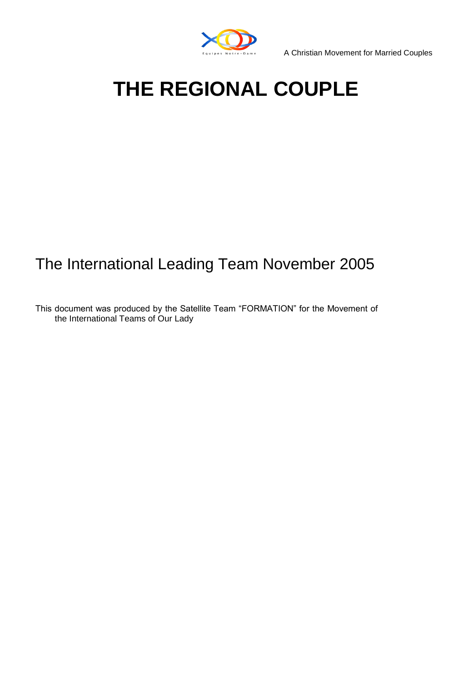

A Christian Movement for Married Couples

# **THE REGIONAL COUPLE**

# The International Leading Team November 2005

This document was produced by the Satellite Team "FORMATION" for the Movement of the International Teams of Our Lady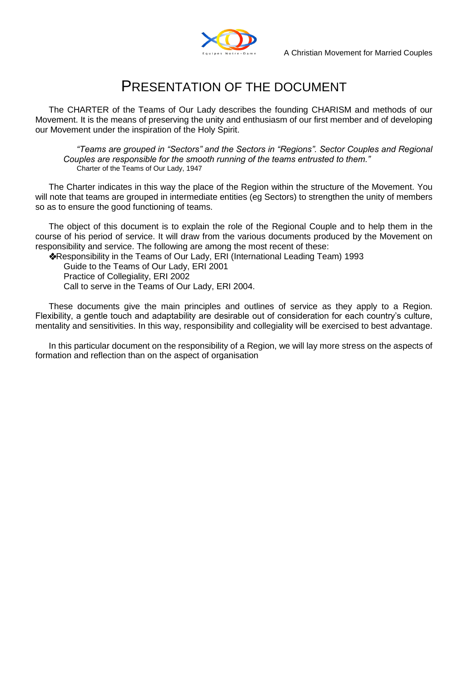

# PRESENTATION OF THE DOCUMENT

The CHARTER of the Teams of Our Lady describes the founding CHARISM and methods of our Movement. It is the means of preserving the unity and enthusiasm of our first member and of developing our Movement under the inspiration of the Holy Spirit.

*"Teams are grouped in "Sectors" and the Sectors in "Regions". Sector Couples and Regional Couples are responsible for the smooth running of the teams entrusted to them."*  Charter of the Teams of Our Lady, 1947

The Charter indicates in this way the place of the Region within the structure of the Movement. You will note that teams are grouped in intermediate entities (eg Sectors) to strengthen the unity of members so as to ensure the good functioning of teams.

The object of this document is to explain the role of the Regional Couple and to help them in the course of his period of service. It will draw from the various documents produced by the Movement on responsibility and service. The following are among the most recent of these:

Responsibility in the Teams of Our Lady, ERI (International Leading Team) 1993

Guide to the Teams of Our Lady, ERI 2001

Practice of Collegiality, ERI 2002

Call to serve in the Teams of Our Lady, ERI 2004.

These documents give the main principles and outlines of service as they apply to a Region. Flexibility, a gentle touch and adaptability are desirable out of consideration for each country's culture, mentality and sensitivities. In this way, responsibility and collegiality will be exercised to best advantage.

In this particular document on the responsibility of a Region, we will lay more stress on the aspects of formation and reflection than on the aspect of organisation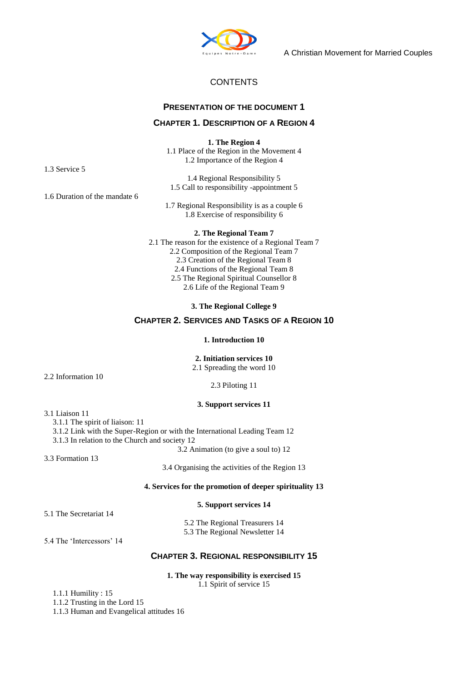

A Christian Movement for Married Couples

# **CONTENTS**

### **PRESENTATION OF THE DOCUMENT 1**

#### **CHAPTER 1. DESCRIPTION OF A REGION 4**

**1. The Region 4**  1.1 Place of the Region in the Movement 4 1.2 Importance of the Region 4

1.4 Regional Responsibility 5 1.5 Call to responsibility -appointment 5

1.7 Regional Responsibility is as a couple 6 1.8 Exercise of responsibility 6

**2. The Regional Team 7**  2.1 The reason for the existence of a Regional Team 7 2.2 Composition of the Regional Team 7 2.3 Creation of the Regional Team 8 2.4 Functions of the Regional Team 8 2.5 The Regional Spiritual Counsellor 8 2.6 Life of the Regional Team 9

**3. The Regional College 9** 

# **CHAPTER 2. SERVICES AND TASKS OF A REGION 10**

#### **1. Introduction 10**

#### **2. Initiation services 10**

2.1 Spreading the word 10

2.3 Piloting 11

#### **3. Support services 11**

3.1 Liaison 11

2.2 Information 10

3.1.1 The spirit of liaison: 11

3.1.2 Link with the Super-Region or with the International Leading Team 12

3.1.3 In relation to the Church and society 12 3.2 Animation (to give a soul to) 12

3.3 Formation 13

3.4 Organising the activities of the Region 13

#### **4. Services for the promotion of deeper spirituality 13**

#### **5. Support services 14**

5.1 The Secretariat 14

5.2 The Regional Treasurers 14 5.3 The Regional Newsletter 14

5.4 The 'Intercessors' 14

# **CHAPTER 3. REGIONAL RESPONSIBILITY 15**

#### **1. The way responsibility is exercised 15**  1.1 Spirit of service 15

1.1.1 Humility : 15

1.1.2 Trusting in the Lord 15

1.1.3 Human and Evangelical attitudes 16

1.3 Service 5

1.6 Duration of the mandate 6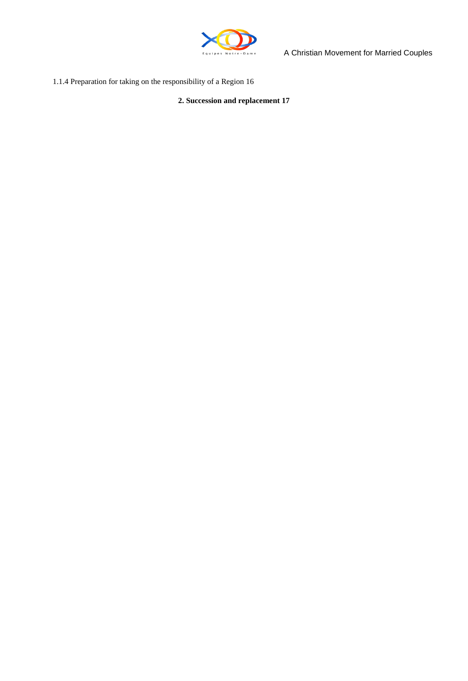

A Christian Movement for Married Couples

1.1.4 Preparation for taking on the responsibility of a Region 16

**2. Succession and replacement 17**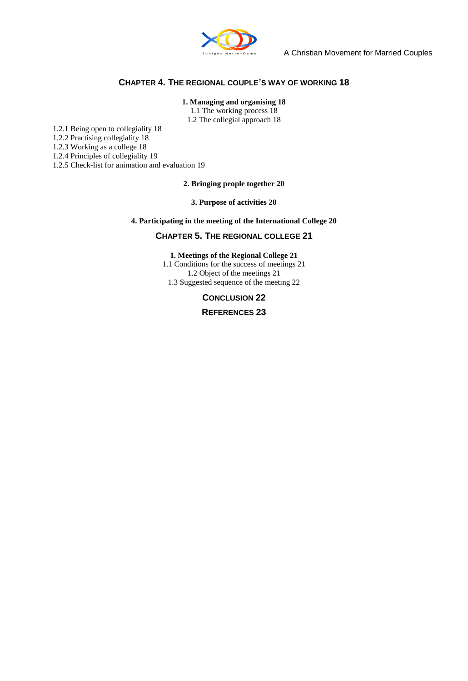

# **CHAPTER 4. THE REGIONAL COUPLE'S WAY OF WORKING 18**

#### **1. Managing and organising 18**

1.1 The working process 18 1.2 The collegial approach 18

1.2.1 Being open to collegiality 18

1.2.2 Practising collegiality 18

1.2.3 Working as a college 18

1.2.4 Principles of collegiality 19

1.2.5 Check-list for animation and evaluation 19

**2. Bringing people together 20** 

**3. Purpose of activities 20** 

**4. Participating in the meeting of the International College 20** 

#### **CHAPTER 5. THE REGIONAL COLLEGE 21**

#### **1. Meetings of the Regional College 21**

1.1 Conditions for the success of meetings 21 1.2 Object of the meetings 21 1.3 Suggested sequence of the meeting 22

#### **CONCLUSION 22**

**REFERENCES 23**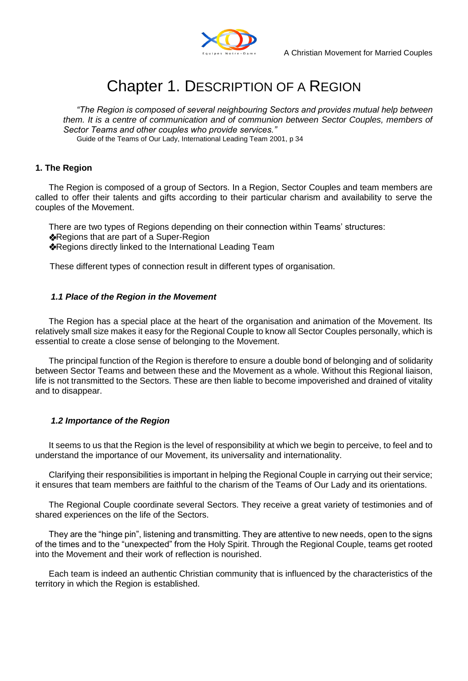

# Chapter 1. DESCRIPTION OF A REGION

*"The Region is composed of several neighbouring Sectors and provides mutual help between them. It is a centre of communication and of communion between Sector Couples, members of Sector Teams and other couples who provide services."* 

Guide of the Teams of Our Lady, International Leading Team 2001, p 34

# **1. The Region**

The Region is composed of a group of Sectors. In a Region, Sector Couples and team members are called to offer their talents and gifts according to their particular charism and availability to serve the couples of the Movement.

There are two types of Regions depending on their connection within Teams' structures: **Regions that are part of a Super-Region** Regions directly linked to the International Leading Team

These different types of connection result in different types of organisation.

## *1.1 Place of the Region in the Movement*

The Region has a special place at the heart of the organisation and animation of the Movement. Its relatively small size makes it easy for the Regional Couple to know all Sector Couples personally, which is essential to create a close sense of belonging to the Movement.

The principal function of the Region is therefore to ensure a double bond of belonging and of solidarity between Sector Teams and between these and the Movement as a whole. Without this Regional liaison, life is not transmitted to the Sectors. These are then liable to become impoverished and drained of vitality and to disappear.

## *1.2 Importance of the Region*

It seems to us that the Region is the level of responsibility at which we begin to perceive, to feel and to understand the importance of our Movement, its universality and internationality.

Clarifying their responsibilities is important in helping the Regional Couple in carrying out their service; it ensures that team members are faithful to the charism of the Teams of Our Lady and its orientations.

The Regional Couple coordinate several Sectors. They receive a great variety of testimonies and of shared experiences on the life of the Sectors.

They are the "hinge pin", listening and transmitting. They are attentive to new needs, open to the signs of the times and to the "unexpected" from the Holy Spirit. Through the Regional Couple, teams get rooted into the Movement and their work of reflection is nourished.

Each team is indeed an authentic Christian community that is influenced by the characteristics of the territory in which the Region is established.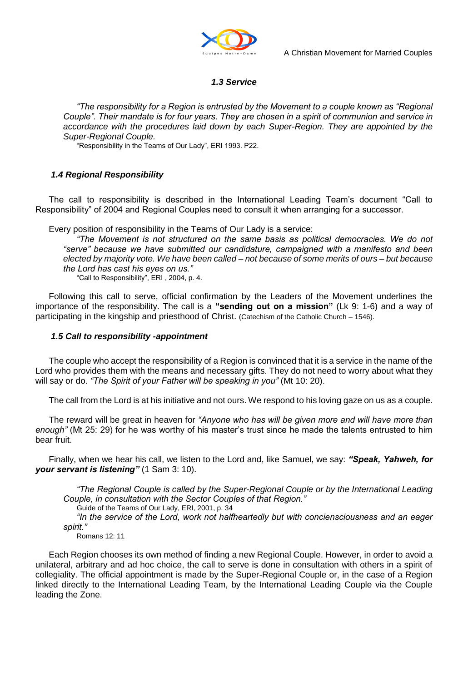

# *1.3 Service*

*"The responsibility for a Region is entrusted by the Movement to a couple known as "Regional Couple". Their mandate is for four years. They are chosen in a spirit of communion and service in accordance with the procedures laid down by each Super-Region. They are appointed by the Super-Regional Couple.* 

"Responsibility in the Teams of Our Lady", ERI 1993. P22.

# *1.4 Regional Responsibility*

The call to responsibility is described in the International Leading Team"s document "Call to Responsibility" of 2004 and Regional Couples need to consult it when arranging for a successor.

Every position of responsibility in the Teams of Our Lady is a service:

*"The Movement is not structured on the same basis as political democracies. We do not "serve" because we have submitted our candidature, campaigned with a manifesto and been elected by majority vote. We have been called – not because of some merits of ours – but because the Lord has cast his eyes on us."* 

"Call to Responsibility", ERI , 2004, p. 4.

Following this call to serve, official confirmation by the Leaders of the Movement underlines the importance of the responsibility. The call is a **"sending out on a mission"** (Lk 9: 1-6) and a way of participating in the kingship and priesthood of Christ. (Catechism of the Catholic Church – 1546).

# *1.5 Call to responsibility -appointment*

The couple who accept the responsibility of a Region is convinced that it is a service in the name of the Lord who provides them with the means and necessary gifts. They do not need to worry about what they will say or do. *"The Spirit of your Father will be speaking in you"* (Mt 10: 20).

The call from the Lord is at his initiative and not ours. We respond to his loving gaze on us as a couple.

The reward will be great in heaven for *"Anyone who has will be given more and will have more than enough"* (Mt 25: 29) for he was worthy of his master"s trust since he made the talents entrusted to him bear fruit.

Finally, when we hear his call, we listen to the Lord and, like Samuel, we say: *"Speak, Yahweh, for your servant is listening"* (1 Sam 3: 10).

*"The Regional Couple is called by the Super-Regional Couple or by the International Leading Couple, in consultation with the Sector Couples of that Region."* 

Guide of the Teams of Our Lady, ERI, 2001, p. 34

*"In the service of the Lord, work not halfheartedly but with conciensciousness and an eager spirit."* 

Romans 12: 11

Each Region chooses its own method of finding a new Regional Couple. However, in order to avoid a unilateral, arbitrary and ad hoc choice, the call to serve is done in consultation with others in a spirit of collegiality. The official appointment is made by the Super-Regional Couple or, in the case of a Region linked directly to the International Leading Team, by the International Leading Couple via the Couple leading the Zone.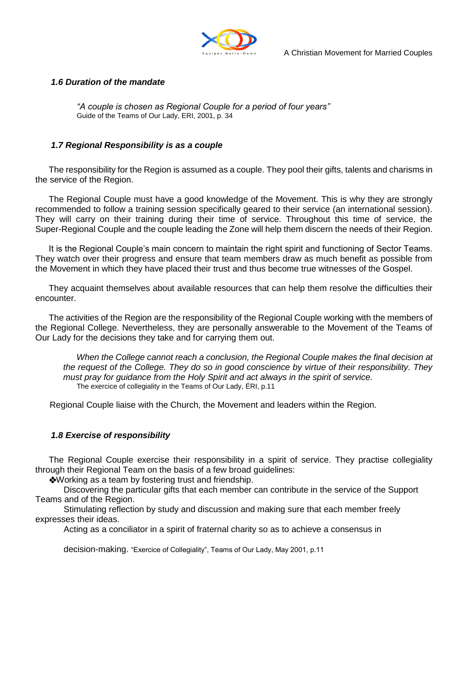

# *1.6 Duration of the mandate*

*"A couple is chosen as Regional Couple for a period of four years"*  Guide of the Teams of Our Lady, ERI, 2001, p. 34

# *1.7 Regional Responsibility is as a couple*

The responsibility for the Region is assumed as a couple. They pool their gifts, talents and charisms in the service of the Region.

The Regional Couple must have a good knowledge of the Movement. This is why they are strongly recommended to follow a training session specifically geared to their service (an international session). They will carry on their training during their time of service. Throughout this time of service, the Super-Regional Couple and the couple leading the Zone will help them discern the needs of their Region.

It is the Regional Couple's main concern to maintain the right spirit and functioning of Sector Teams. They watch over their progress and ensure that team members draw as much benefit as possible from the Movement in which they have placed their trust and thus become true witnesses of the Gospel.

They acquaint themselves about available resources that can help them resolve the difficulties their encounter.

The activities of the Region are the responsibility of the Regional Couple working with the members of the Regional College. Nevertheless, they are personally answerable to the Movement of the Teams of Our Lady for the decisions they take and for carrying them out.

*When the College cannot reach a conclusion, the Regional Couple makes the final decision at the request of the College. They do so in good conscience by virtue of their responsibility. They must pray for guidance from the Holy Spirit and act always in the spirit of service.*  The exercice of collegiality in the Teams of Our Lady, ÉRI, p.11

Regional Couple liaise with the Church, the Movement and leaders within the Region.

## *1.8 Exercise of responsibility*

The Regional Couple exercise their responsibility in a spirit of service. They practise collegiality through their Regional Team on the basis of a few broad guidelines:

Working as a team by fostering trust and friendship.

Discovering the particular gifts that each member can contribute in the service of the Support Teams and of the Region.

Stimulating reflection by study and discussion and making sure that each member freely expresses their ideas.

Acting as a conciliator in a spirit of fraternal charity so as to achieve a consensus in

decision-making. "Exercice of Collegiality", Teams of Our Lady, May 2001, p.11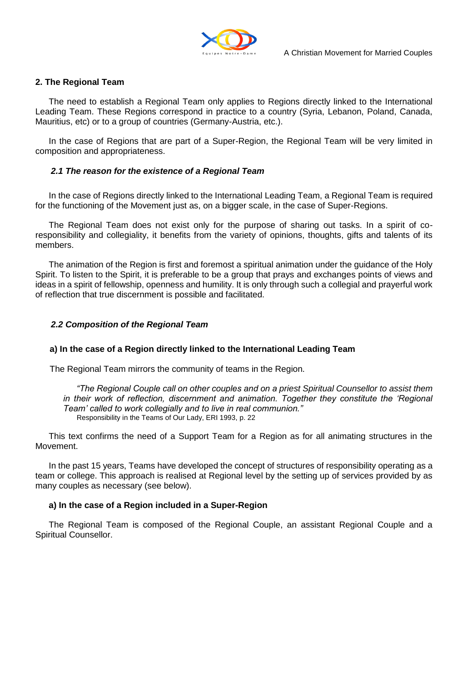

# **2. The Regional Team**

The need to establish a Regional Team only applies to Regions directly linked to the International Leading Team. These Regions correspond in practice to a country (Syria, Lebanon, Poland, Canada, Mauritius, etc) or to a group of countries (Germany-Austria, etc.).

In the case of Regions that are part of a Super-Region, the Regional Team will be very limited in composition and appropriateness.

## *2.1 The reason for the existence of a Regional Team*

In the case of Regions directly linked to the International Leading Team, a Regional Team is required for the functioning of the Movement just as, on a bigger scale, in the case of Super-Regions.

The Regional Team does not exist only for the purpose of sharing out tasks. In a spirit of coresponsibility and collegiality, it benefits from the variety of opinions, thoughts, gifts and talents of its members.

The animation of the Region is first and foremost a spiritual animation under the guidance of the Holy Spirit. To listen to the Spirit, it is preferable to be a group that prays and exchanges points of views and ideas in a spirit of fellowship, openness and humility. It is only through such a collegial and prayerful work of reflection that true discernment is possible and facilitated.

#### *2.2 Composition of the Regional Team*

#### **a) In the case of a Region directly linked to the International Leading Team**

The Regional Team mirrors the community of teams in the Region.

*"The Regional Couple call on other couples and on a priest Spiritual Counsellor to assist them in their work of reflection, discernment and animation. Together they constitute the "Regional Team" called to work collegially and to live in real communion."*  Responsibility in the Teams of Our Lady, ERI 1993, p. 22

This text confirms the need of a Support Team for a Region as for all animating structures in the Movement.

In the past 15 years, Teams have developed the concept of structures of responsibility operating as a team or college. This approach is realised at Regional level by the setting up of services provided by as many couples as necessary (see below).

#### **a) In the case of a Region included in a Super-Region**

The Regional Team is composed of the Regional Couple, an assistant Regional Couple and a Spiritual Counsellor.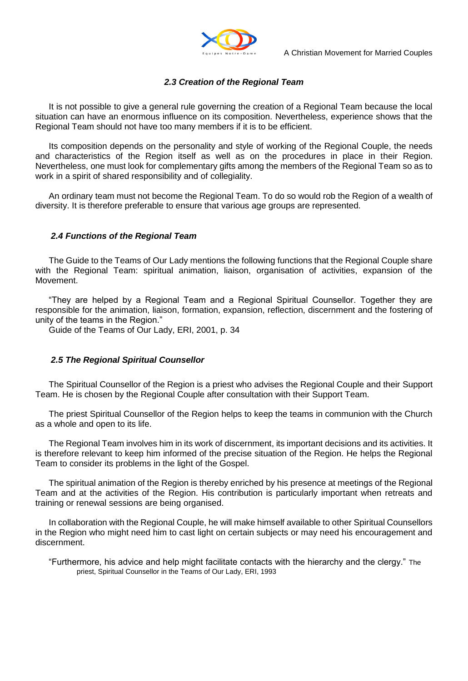

# *2.3 Creation of the Regional Team*

It is not possible to give a general rule governing the creation of a Regional Team because the local situation can have an enormous influence on its composition. Nevertheless, experience shows that the Regional Team should not have too many members if it is to be efficient.

Its composition depends on the personality and style of working of the Regional Couple, the needs and characteristics of the Region itself as well as on the procedures in place in their Region. Nevertheless, one must look for complementary gifts among the members of the Regional Team so as to work in a spirit of shared responsibility and of collegiality.

An ordinary team must not become the Regional Team. To do so would rob the Region of a wealth of diversity. It is therefore preferable to ensure that various age groups are represented.

# *2.4 Functions of the Regional Team*

The Guide to the Teams of Our Lady mentions the following functions that the Regional Couple share with the Regional Team: spiritual animation, liaison, organisation of activities, expansion of the Movement.

"They are helped by a Regional Team and a Regional Spiritual Counsellor. Together they are responsible for the animation, liaison, formation, expansion, reflection, discernment and the fostering of unity of the teams in the Region."

Guide of the Teams of Our Lady, ERI, 2001, p. 34

## *2.5 The Regional Spiritual Counsellor*

The Spiritual Counsellor of the Region is a priest who advises the Regional Couple and their Support Team. He is chosen by the Regional Couple after consultation with their Support Team.

The priest Spiritual Counsellor of the Region helps to keep the teams in communion with the Church as a whole and open to its life.

The Regional Team involves him in its work of discernment, its important decisions and its activities. It is therefore relevant to keep him informed of the precise situation of the Region. He helps the Regional Team to consider its problems in the light of the Gospel.

The spiritual animation of the Region is thereby enriched by his presence at meetings of the Regional Team and at the activities of the Region. His contribution is particularly important when retreats and training or renewal sessions are being organised.

In collaboration with the Regional Couple, he will make himself available to other Spiritual Counsellors in the Region who might need him to cast light on certain subjects or may need his encouragement and discernment.

"Furthermore, his advice and help might facilitate contacts with the hierarchy and the clergy." The priest, Spiritual Counsellor in the Teams of Our Lady, ERI, 1993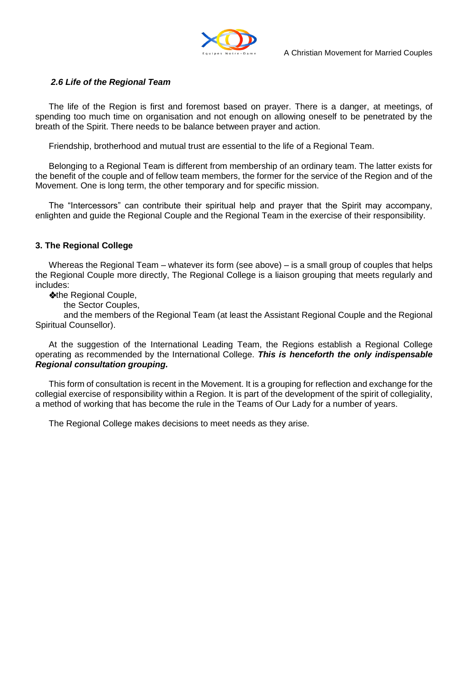

# *2.6 Life of the Regional Team*

The life of the Region is first and foremost based on prayer. There is a danger, at meetings, of spending too much time on organisation and not enough on allowing oneself to be penetrated by the breath of the Spirit. There needs to be balance between prayer and action.

Friendship, brotherhood and mutual trust are essential to the life of a Regional Team.

Belonging to a Regional Team is different from membership of an ordinary team. The latter exists for the benefit of the couple and of fellow team members, the former for the service of the Region and of the Movement. One is long term, the other temporary and for specific mission.

The "Intercessors" can contribute their spiritual help and prayer that the Spirit may accompany, enlighten and guide the Regional Couple and the Regional Team in the exercise of their responsibility.

# **3. The Regional College**

Whereas the Regional Team – whatever its form (see above) – is a small group of couples that helps the Regional Couple more directly, The Regional College is a liaison grouping that meets regularly and includes:

**\*the Regional Couple,** 

the Sector Couples,

and the members of the Regional Team (at least the Assistant Regional Couple and the Regional Spiritual Counsellor).

At the suggestion of the International Leading Team, the Regions establish a Regional College operating as recommended by the International College. *This is henceforth the only indispensable Regional consultation grouping.* 

This form of consultation is recent in the Movement. It is a grouping for reflection and exchange for the collegial exercise of responsibility within a Region. It is part of the development of the spirit of collegiality, a method of working that has become the rule in the Teams of Our Lady for a number of years.

The Regional College makes decisions to meet needs as they arise.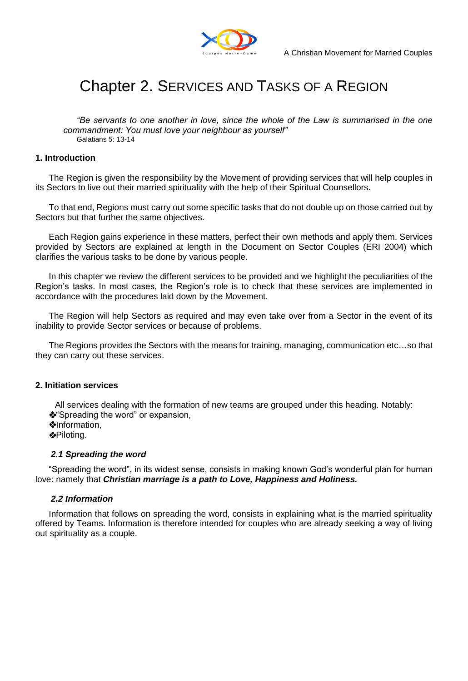

# Chapter 2. SERVICES AND TASKS OF A REGION

*"Be servants to one another in love, since the whole of the Law is summarised in the one commandment: You must love your neighbour as yourself"*  Galatians 5: 13-14

#### **1. Introduction**

The Region is given the responsibility by the Movement of providing services that will help couples in its Sectors to live out their married spirituality with the help of their Spiritual Counsellors.

To that end, Regions must carry out some specific tasks that do not double up on those carried out by Sectors but that further the same objectives.

Each Region gains experience in these matters, perfect their own methods and apply them. Services provided by Sectors are explained at length in the Document on Sector Couples (ERI 2004) which clarifies the various tasks to be done by various people.

In this chapter we review the different services to be provided and we highlight the peculiarities of the Region"s tasks. In most cases, the Region"s role is to check that these services are implemented in accordance with the procedures laid down by the Movement.

The Region will help Sectors as required and may even take over from a Sector in the event of its inability to provide Sector services or because of problems.

The Regions provides the Sectors with the means for training, managing, communication etc…so that they can carry out these services.

#### **2. Initiation services**

All services dealing with the formation of new teams are grouped under this heading. Notably: **<sup>❖</sup>Spreading the word**" or expansion, **Minformation,** Piloting.

#### *2.1 Spreading the word*

"Spreading the word", in its widest sense, consists in making known God"s wonderful plan for human love: namely that *Christian marriage is a path to Love, Happiness and Holiness.* 

#### *2.2 Information*

Information that follows on spreading the word, consists in explaining what is the married spirituality offered by Teams. Information is therefore intended for couples who are already seeking a way of living out spirituality as a couple.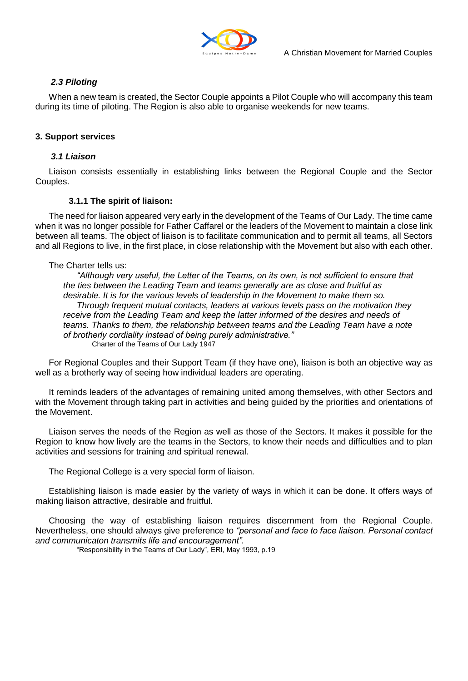

# *2.3 Piloting*

When a new team is created, the Sector Couple appoints a Pilot Couple who will accompany this team during its time of piloting. The Region is also able to organise weekends for new teams.

# **3. Support services**

# *3.1 Liaison*

Liaison consists essentially in establishing links between the Regional Couple and the Sector Couples.

## **3.1.1 The spirit of liaison:**

The need for liaison appeared very early in the development of the Teams of Our Lady. The time came when it was no longer possible for Father Caffarel or the leaders of the Movement to maintain a close link between all teams. The object of liaison is to facilitate communication and to permit all teams, all Sectors and all Regions to live, in the first place, in close relationship with the Movement but also with each other.

## The Charter tells us:

*"Although very useful, the Letter of the Teams, on its own, is not sufficient to ensure that the ties between the Leading Team and teams generally are as close and fruitful as desirable. It is for the various levels of leadership in the Movement to make them so. Through frequent mutual contacts, leaders at various levels pass on the motivation they receive from the Leading Team and keep the latter informed of the desires and needs of teams. Thanks to them, the relationship between teams and the Leading Team have a note of brotherly cordiality instead of being purely administrative."*  Charter of the Teams of Our Lady 1947

For Regional Couples and their Support Team (if they have one), liaison is both an objective way as well as a brotherly way of seeing how individual leaders are operating.

It reminds leaders of the advantages of remaining united among themselves, with other Sectors and with the Movement through taking part in activities and being guided by the priorities and orientations of the Movement.

Liaison serves the needs of the Region as well as those of the Sectors. It makes it possible for the Region to know how lively are the teams in the Sectors, to know their needs and difficulties and to plan activities and sessions for training and spiritual renewal.

The Regional College is a very special form of liaison.

Establishing liaison is made easier by the variety of ways in which it can be done. It offers ways of making liaison attractive, desirable and fruitful.

Choosing the way of establishing liaison requires discernment from the Regional Couple. Nevertheless, one should always give preference to *"personal and face to face liaison. Personal contact and communicaton transmits life and encouragement".* 

"Responsibility in the Teams of Our Lady", ERI, May 1993, p.19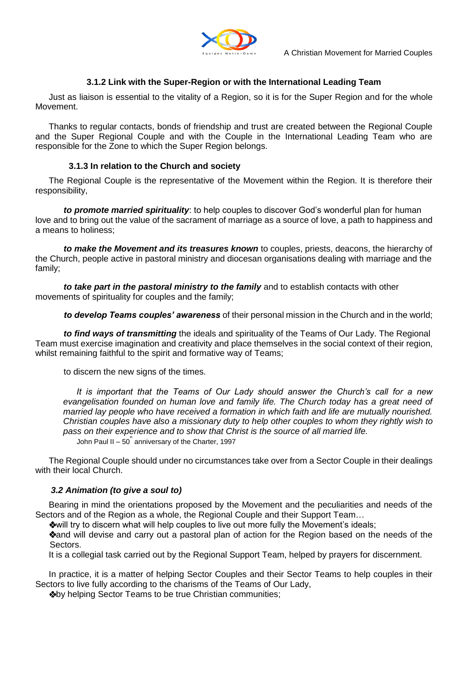

# **3.1.2 Link with the Super-Region or with the International Leading Team**

Just as liaison is essential to the vitality of a Region, so it is for the Super Region and for the whole Movement.

Thanks to regular contacts, bonds of friendship and trust are created between the Regional Couple and the Super Regional Couple and with the Couple in the International Leading Team who are responsible for the Zone to which the Super Region belongs.

# **3.1.3 In relation to the Church and society**

The Regional Couple is the representative of the Movement within the Region. It is therefore their responsibility,

*to promote married spirituality*: to help couples to discover God"s wonderful plan for human love and to bring out the value of the sacrament of marriage as a source of love, a path to happiness and a means to holiness;

*to make the Movement and its treasures known* to couples, priests, deacons, the hierarchy of the Church, people active in pastoral ministry and diocesan organisations dealing with marriage and the family;

*to take part in the pastoral ministry to the family* and to establish contacts with other movements of spirituality for couples and the family;

*to develop Teams couples" awareness* of their personal mission in the Church and in the world;

*to find ways of transmitting* the ideals and spirituality of the Teams of Our Lady. The Regional Team must exercise imagination and creativity and place themselves in the social context of their region, whilst remaining faithful to the spirit and formative way of Teams;

to discern the new signs of the times.

*It is important that the Teams of Our Lady should answer the Church"s call for a new evangelisation founded on human love and family life. The Church today has a great need of married lay people who have received a formation in which faith and life are mutually nourished. Christian couples have also a missionary duty to help other couples to whom they rightly wish to pass on their experience and to show that Christ is the source of all married life.*  John Paul II  $-50^{\degree}$  anniversary of the Charter, 1997

The Regional Couple should under no circumstances take over from a Sector Couple in their dealings with their local Church.

## *3.2 Animation (to give a soul to)*

Bearing in mind the orientations proposed by the Movement and the peculiarities and needs of the Sectors and of the Region as a whole, the Regional Couple and their Support Team…

will try to discern what will help couples to live out more fully the Movement"s ideals;

**Vand will devise and carry out a pastoral plan of action for the Region based on the needs of the** Sectors.

It is a collegial task carried out by the Regional Support Team, helped by prayers for discernment.

In practice, it is a matter of helping Sector Couples and their Sector Teams to help couples in their Sectors to live fully according to the charisms of the Teams of Our Lady,

**\*by helping Sector Teams to be true Christian communities;**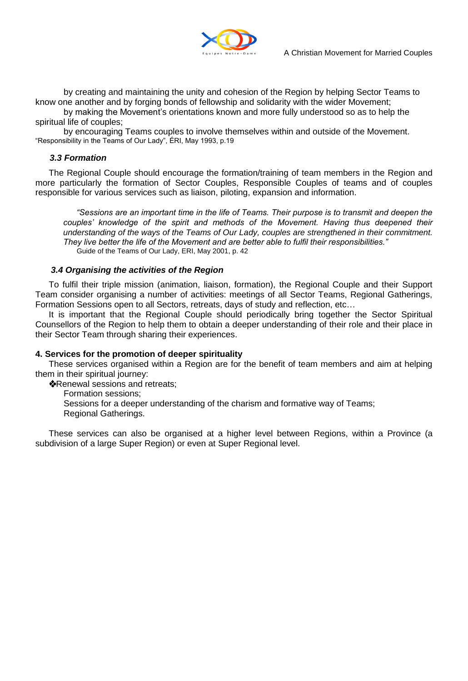

by creating and maintaining the unity and cohesion of the Region by helping Sector Teams to know one another and by forging bonds of fellowship and solidarity with the wider Movement;

by making the Movement"s orientations known and more fully understood so as to help the spiritual life of couples;

by encouraging Teams couples to involve themselves within and outside of the Movement. "Responsibility in the Teams of Our Lady", ÉRI, May 1993, p.19

# *3.3 Formation*

The Regional Couple should encourage the formation/training of team members in the Region and more particularly the formation of Sector Couples, Responsible Couples of teams and of couples responsible for various services such as liaison, piloting, expansion and information.

*"Sessions are an important time in the life of Teams. Their purpose is to transmit and deepen the couples" knowledge of the spirit and methods of the Movement. Having thus deepened their understanding of the ways of the Teams of Our Lady, couples are strengthened in their commitment. They live better the life of the Movement and are better able to fulfil their responsibilities."*  Guide of the Teams of Our Lady, ERI, May 2001, p. 42

# *3.4 Organising the activities of the Region*

To fulfil their triple mission (animation, liaison, formation), the Regional Couple and their Support Team consider organising a number of activities: meetings of all Sector Teams, Regional Gatherings, Formation Sessions open to all Sectors, retreats, days of study and reflection, etc…

It is important that the Regional Couple should periodically bring together the Sector Spiritual Counsellors of the Region to help them to obtain a deeper understanding of their role and their place in their Sector Team through sharing their experiences.

## **4. Services for the promotion of deeper spirituality**

These services organised within a Region are for the benefit of team members and aim at helping them in their spiritual journey:

**Renewal sessions and retreats:** 

Formation sessions;

Sessions for a deeper understanding of the charism and formative way of Teams; Regional Gatherings.

These services can also be organised at a higher level between Regions, within a Province (a subdivision of a large Super Region) or even at Super Regional level.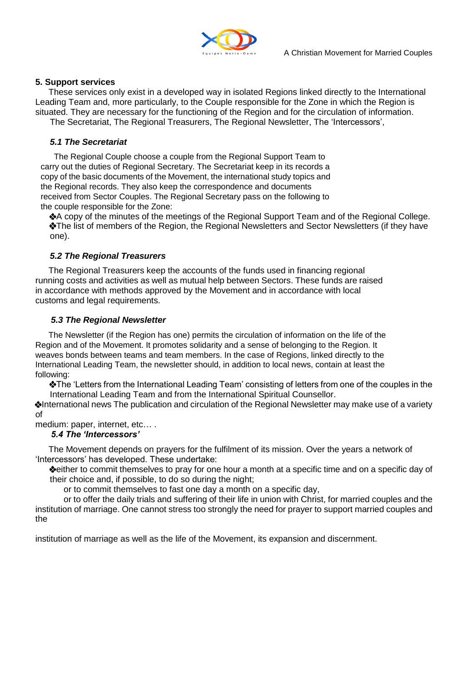

# **5. Support services**

These services only exist in a developed way in isolated Regions linked directly to the International Leading Team and, more particularly, to the Couple responsible for the Zone in which the Region is situated. They are necessary for the functioning of the Region and for the circulation of information.

The Secretariat, The Regional Treasurers, The Regional Newsletter, The "Intercessors",

# *5.1 The Secretariat*

The Regional Couple choose a couple from the Regional Support Team to carry out the duties of Regional Secretary. The Secretariat keep in its records a copy of the basic documents of the Movement, the international study topics and the Regional records. They also keep the correspondence and documents received from Sector Couples. The Regional Secretary pass on the following to the couple responsible for the Zone:

A copy of the minutes of the meetings of the Regional Support Team and of the Regional College. The list of members of the Region, the Regional Newsletters and Sector Newsletters (if they have one).

# *5.2 The Regional Treasurers*

The Regional Treasurers keep the accounts of the funds used in financing regional running costs and activities as well as mutual help between Sectors. These funds are raised in accordance with methods approved by the Movement and in accordance with local customs and legal requirements.

# *5.3 The Regional Newsletter*

The Newsletter (if the Region has one) permits the circulation of information on the life of the Region and of the Movement. It promotes solidarity and a sense of belonging to the Region. It weaves bonds between teams and team members. In the case of Regions, linked directly to the International Leading Team, the newsletter should, in addition to local news, contain at least the following:

The "Letters from the International Leading Team" consisting of letters from one of the couples in the International Leading Team and from the International Spiritual Counsellor.

International news The publication and circulation of the Regional Newsletter may make use of a variety of

medium: paper, internet, etc… .

# *5.4 The "Intercessors"*

The Movement depends on prayers for the fulfilment of its mission. Over the years a network of "Intercessors" has developed. These undertake:

either to commit themselves to pray for one hour a month at a specific time and on a specific day of their choice and, if possible, to do so during the night;

or to commit themselves to fast one day a month on a specific day,

or to offer the daily trials and suffering of their life in union with Christ, for married couples and the institution of marriage. One cannot stress too strongly the need for prayer to support married couples and the

institution of marriage as well as the life of the Movement, its expansion and discernment.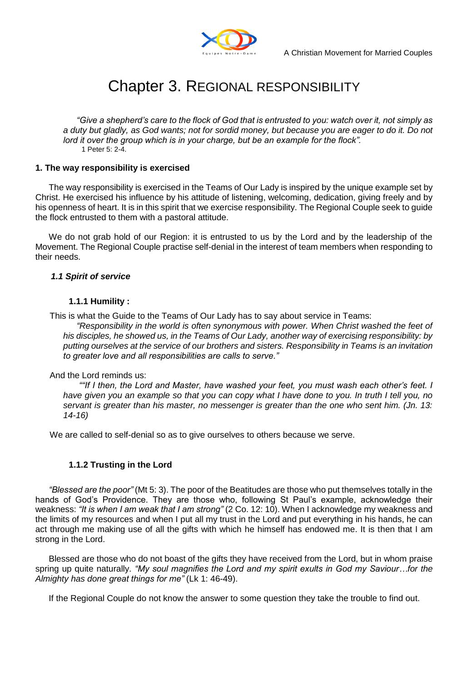

# Chapter 3. REGIONAL RESPONSIBILITY

*"Give a shepherd"s care to the flock of God that is entrusted to you: watch over it, not simply as a duty but gladly, as God wants; not for sordid money, but because you are eager to do it. Do not lord it over the group which is in your charge, but be an example for the flock".* 1 Peter 5: 2-4.

## **1. The way responsibility is exercised**

The way responsibility is exercised in the Teams of Our Lady is inspired by the unique example set by Christ. He exercised his influence by his attitude of listening, welcoming, dedication, giving freely and by his openness of heart. It is in this spirit that we exercise responsibility. The Regional Couple seek to guide the flock entrusted to them with a pastoral attitude.

We do not grab hold of our Region: it is entrusted to us by the Lord and by the leadership of the Movement. The Regional Couple practise self-denial in the interest of team members when responding to their needs.

## *1.1 Spirit of service*

## **1.1.1 Humility :**

This is what the Guide to the Teams of Our Lady has to say about service in Teams:

*"Responsibility in the world is often synonymous with power. When Christ washed the feet of his disciples, he showed us, in the Teams of Our Lady, another way of exercising responsibility: by putting ourselves at the service of our brothers and sisters. Responsibility in Teams is an invitation to greater love and all responsibilities are calls to serve."* 

## And the Lord reminds us:

*""If I then, the Lord and Master, have washed your feet, you must wash each other"s feet. I have given you an example so that you can copy what I have done to you. In truth I tell you, no servant is greater than his master, no messenger is greater than the one who sent him. (Jn. 13: 14-16)* 

We are called to self-denial so as to give ourselves to others because we serve.

## **1.1.2 Trusting in the Lord**

*"Blessed are the poor"* (Mt 5: 3). The poor of the Beatitudes are those who put themselves totally in the hands of God's Providence. They are those who, following St Paul's example, acknowledge their weakness: *"It is when I am weak that I am strong"* (2 Co. 12: 10). When I acknowledge my weakness and the limits of my resources and when I put all my trust in the Lord and put everything in his hands, he can act through me making use of all the gifts with which he himself has endowed me. It is then that I am strong in the Lord.

Blessed are those who do not boast of the gifts they have received from the Lord, but in whom praise spring up quite naturally. *"My soul magnifies the Lord and my spirit exults in God my Saviour…for the Almighty has done great things for me"* (Lk 1: 46-49).

If the Regional Couple do not know the answer to some question they take the trouble to find out.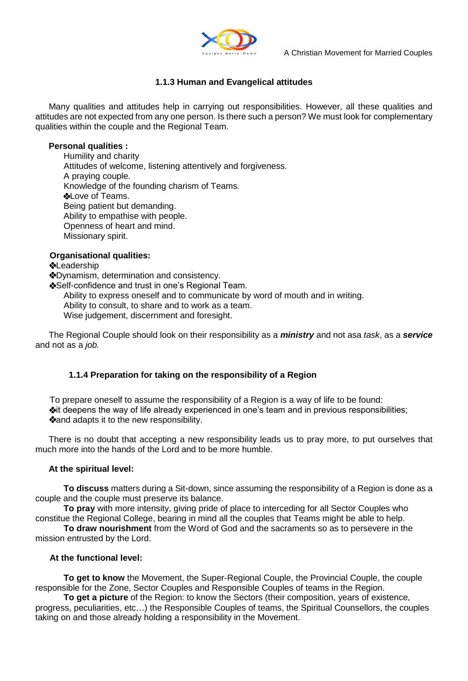

# **1.1.3 Human and Evangelical attitudes**

Many qualities and attitudes help in carrying out responsibilities. However, all these qualities and attitudes are not expected from any one person. Is there such a person? We must look for complementary qualities within the couple and the Regional Team.

# **Personal qualities :**

Humility and charity Attitudes of welcome, listening attentively and forgiveness. A praying couple. Knowledge of the founding charism of Teams. **\*Love of Teams.** Being patient but demanding. Ability to empathise with people. Openness of heart and mind. Missionary spirit.

# **Organisational qualities:**

## **<sup>❖</sup>Leadership**

Dynamism, determination and consistency.

Self-confidence and trust in one's Regional Team.

Ability to express oneself and to communicate by word of mouth and in writing.

Ability to consult, to share and to work as a team.

Wise judgement, discernment and foresight.

The Regional Couple should look on their responsibility as a *ministry* and not asa *task*, as a *service* and not as a *job.* 

# **1.1.4 Preparation for taking on the responsibility of a Region**

To prepare oneself to assume the responsibility of a Region is a way of life to be found:  $*$ it deepens the way of life already experienced in one's team and in previous responsibilities; **Mand adapts it to the new responsibility.** 

There is no doubt that accepting a new responsibility leads us to pray more, to put ourselves that much more into the hands of the Lord and to be more humble.

## **At the spiritual level:**

**To discuss** matters during a Sit-down, since assuming the responsibility of a Region is done as a couple and the couple must preserve its balance.

**To pray** with more intensity, giving pride of place to interceding for all Sector Couples who constitue the Regional College, bearing in mind all the couples that Teams might be able to help.

**To draw nourishment** from the Word of God and the sacraments so as to persevere in the mission entrusted by the Lord.

## **At the functional level:**

**To get to know** the Movement, the Super-Regional Couple, the Provincial Couple, the couple responsible for the Zone, Sector Couples and Responsible Couples of teams in the Region.

**To get a picture** of the Region: to know the Sectors (their composition, years of existence, progress, peculiarities, etc…) the Responsible Couples of teams, the Spiritual Counsellors, the couples taking on and those already holding a responsibility in the Movement.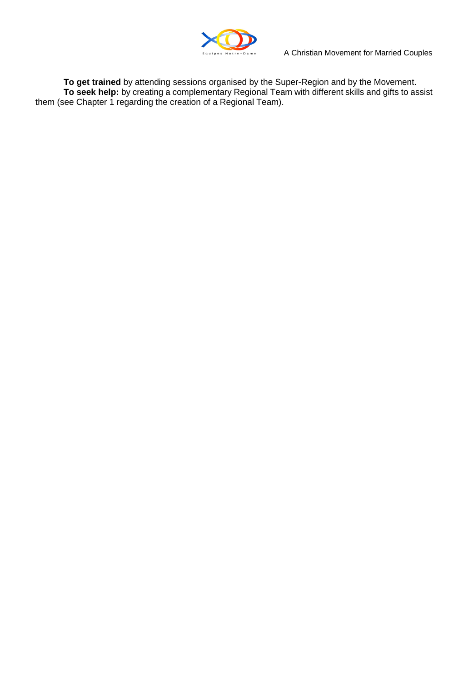

**To get trained** by attending sessions organised by the Super-Region and by the Movement. **To seek help:** by creating a complementary Regional Team with different skills and gifts to assist them (see Chapter 1 regarding the creation of a Regional Team).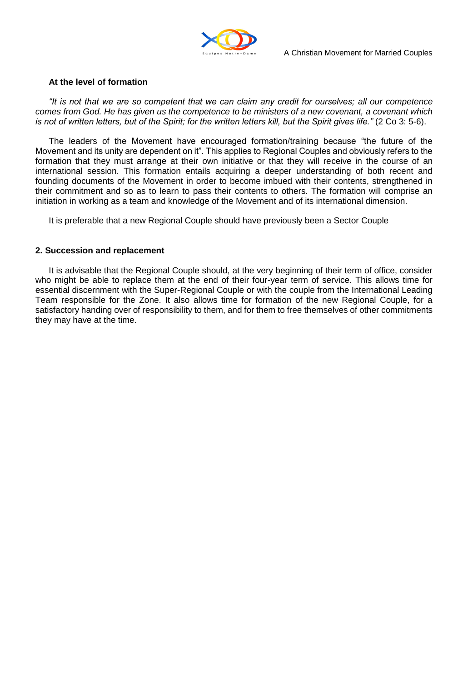

# **At the level of formation**

*"It is not that we are so competent that we can claim any credit for ourselves; all our competence comes from God. He has given us the competence to be ministers of a new covenant, a covenant which is not of written letters, but of the Spirit; for the written letters kill, but the Spirit gives life."* (2 Co 3: 5-6).

The leaders of the Movement have encouraged formation/training because "the future of the Movement and its unity are dependent on it". This applies to Regional Couples and obviously refers to the formation that they must arrange at their own initiative or that they will receive in the course of an international session. This formation entails acquiring a deeper understanding of both recent and founding documents of the Movement in order to become imbued with their contents, strengthened in their commitment and so as to learn to pass their contents to others. The formation will comprise an initiation in working as a team and knowledge of the Movement and of its international dimension.

It is preferable that a new Regional Couple should have previously been a Sector Couple

## **2. Succession and replacement**

It is advisable that the Regional Couple should, at the very beginning of their term of office, consider who might be able to replace them at the end of their four-year term of service. This allows time for essential discernment with the Super-Regional Couple or with the couple from the International Leading Team responsible for the Zone. It also allows time for formation of the new Regional Couple, for a satisfactory handing over of responsibility to them, and for them to free themselves of other commitments they may have at the time.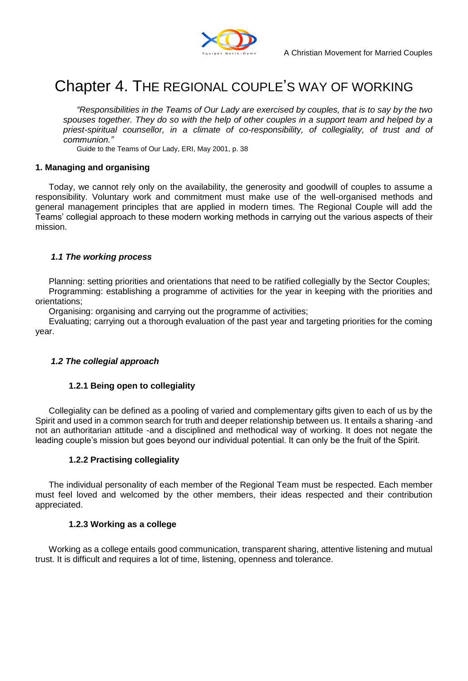

# Chapter 4. THE REGIONAL COUPLE"S WAY OF WORKING

*"Responsibilities in the Teams of Our Lady are exercised by couples, that is to say by the two spouses together. They do so with the help of other couples in a support team and helped by a priest-spiritual counsellor, in a climate of co-responsibility, of collegiality, of trust and of communion."* 

Guide to the Teams of Our Lady, ERI, May 2001, p. 38

## **1. Managing and organising**

Today, we cannot rely only on the availability, the generosity and goodwill of couples to assume a responsibility. Voluntary work and commitment must make use of the well-organised methods and general management principles that are applied in modern times. The Regional Couple will add the Teams" collegial approach to these modern working methods in carrying out the various aspects of their mission.

#### *1.1 The working process*

Planning: setting priorities and orientations that need to be ratified collegially by the Sector Couples; Programming: establishing a programme of activities for the year in keeping with the priorities and orientations;

Organising: organising and carrying out the programme of activities;

Evaluating; carrying out a thorough evaluation of the past year and targeting priorities for the coming year.

## *1.2 The collegial approach*

## **1.2.1 Being open to collegiality**

Collegiality can be defined as a pooling of varied and complementary gifts given to each of us by the Spirit and used in a common search for truth and deeper relationship between us. It entails a sharing -and not an authoritarian attitude -and a disciplined and methodical way of working. It does not negate the leading couple"s mission but goes beyond our individual potential. It can only be the fruit of the Spirit.

## **1.2.2 Practising collegiality**

The individual personality of each member of the Regional Team must be respected. Each member must feel loved and welcomed by the other members, their ideas respected and their contribution appreciated.

## **1.2.3 Working as a college**

Working as a college entails good communication, transparent sharing, attentive listening and mutual trust. It is difficult and requires a lot of time, listening, openness and tolerance.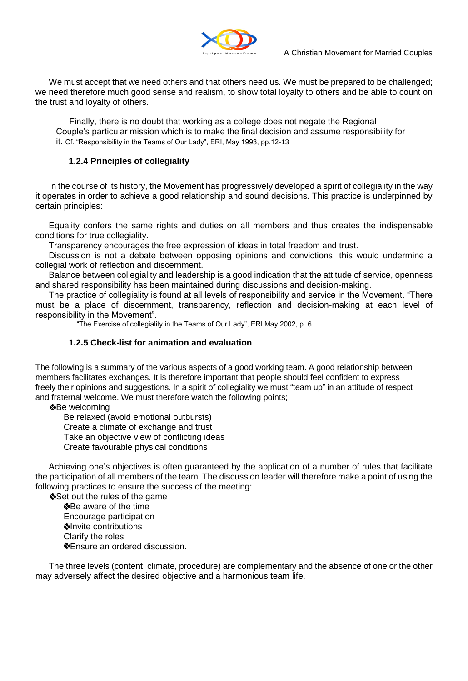

We must accept that we need others and that others need us. We must be prepared to be challenged; we need therefore much good sense and realism, to show total loyalty to others and be able to count on the trust and loyalty of others.

Finally, there is no doubt that working as a college does not negate the Regional Couple"s particular mission which is to make the final decision and assume responsibility for it. Cf. "Responsibility in the Teams of Our Lady", ERI, May 1993, pp.12-13

# **1.2.4 Principles of collegiality**

In the course of its history, the Movement has progressively developed a spirit of collegiality in the way it operates in order to achieve a good relationship and sound decisions. This practice is underpinned by certain principles:

Equality confers the same rights and duties on all members and thus creates the indispensable conditions for true collegiality.

Transparency encourages the free expression of ideas in total freedom and trust.

Discussion is not a debate between opposing opinions and convictions; this would undermine a collegial work of reflection and discernment.

Balance between collegiality and leadership is a good indication that the attitude of service, openness and shared responsibility has been maintained during discussions and decision-making.

The practice of collegiality is found at all levels of responsibility and service in the Movement. "There must be a place of discernment, transparency, reflection and decision-making at each level of responsibility in the Movement".

"The Exercise of collegiality in the Teams of Our Lady", ERI May 2002, p. 6

# **1.2.5 Check-list for animation and evaluation**

The following is a summary of the various aspects of a good working team. A good relationship between members facilitates exchanges. It is therefore important that people should feel confident to express freely their opinions and suggestions. In a spirit of collegiality we must "team up" in an attitude of respect and fraternal welcome. We must therefore watch the following points;

**\*Be welcoming** 

Be relaxed (avoid emotional outbursts)

Create a climate of exchange and trust

Take an objective view of conflicting ideas

Create favourable physical conditions

Achieving one"s objectives is often guaranteed by the application of a number of rules that facilitate the participation of all members of the team. The discussion leader will therefore make a point of using the following practices to ensure the success of the meeting:

Set out the rules of the game Be aware of the time Encourage participation **Invite contributions** Clarify the roles **\*Ensure an ordered discussion.** 

The three levels (content, climate, procedure) are complementary and the absence of one or the other may adversely affect the desired objective and a harmonious team life.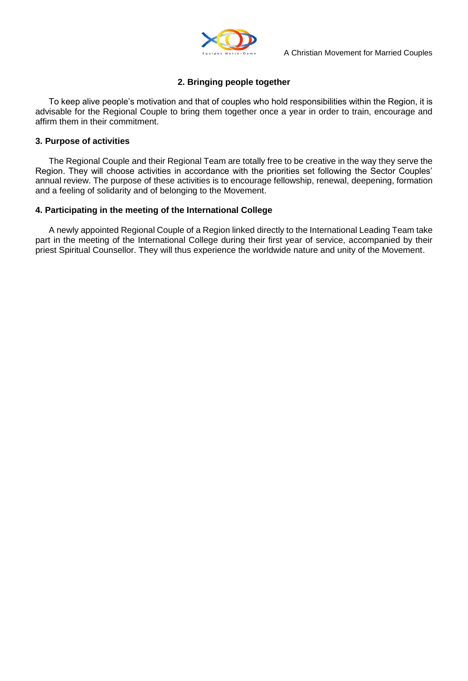

# **2. Bringing people together**

To keep alive people"s motivation and that of couples who hold responsibilities within the Region, it is advisable for the Regional Couple to bring them together once a year in order to train, encourage and affirm them in their commitment.

# **3. Purpose of activities**

The Regional Couple and their Regional Team are totally free to be creative in the way they serve the Region. They will choose activities in accordance with the priorities set following the Sector Couples" annual review. The purpose of these activities is to encourage fellowship, renewal, deepening, formation and a feeling of solidarity and of belonging to the Movement.

# **4. Participating in the meeting of the International College**

A newly appointed Regional Couple of a Region linked directly to the International Leading Team take part in the meeting of the International College during their first year of service, accompanied by their priest Spiritual Counsellor. They will thus experience the worldwide nature and unity of the Movement.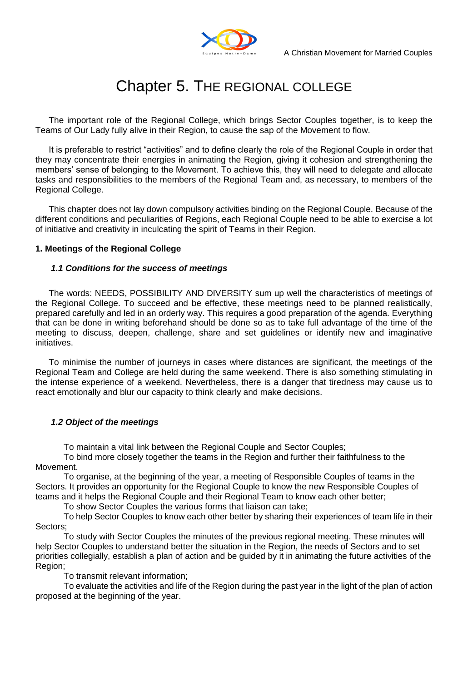

# Chapter 5. THE REGIONAL COLLEGE

The important role of the Regional College, which brings Sector Couples together, is to keep the Teams of Our Lady fully alive in their Region, to cause the sap of the Movement to flow.

It is preferable to restrict "activities" and to define clearly the role of the Regional Couple in order that they may concentrate their energies in animating the Region, giving it cohesion and strengthening the members" sense of belonging to the Movement. To achieve this, they will need to delegate and allocate tasks and responsibilities to the members of the Regional Team and, as necessary, to members of the Regional College.

This chapter does not lay down compulsory activities binding on the Regional Couple. Because of the different conditions and peculiarities of Regions, each Regional Couple need to be able to exercise a lot of initiative and creativity in inculcating the spirit of Teams in their Region.

# **1. Meetings of the Regional College**

#### *1.1 Conditions for the success of meetings*

The words: NEEDS, POSSIBILITY AND DIVERSITY sum up well the characteristics of meetings of the Regional College. To succeed and be effective, these meetings need to be planned realistically, prepared carefully and led in an orderly way. This requires a good preparation of the agenda. Everything that can be done in writing beforehand should be done so as to take full advantage of the time of the meeting to discuss, deepen, challenge, share and set guidelines or identify new and imaginative initiatives.

To minimise the number of journeys in cases where distances are significant, the meetings of the Regional Team and College are held during the same weekend. There is also something stimulating in the intense experience of a weekend. Nevertheless, there is a danger that tiredness may cause us to react emotionally and blur our capacity to think clearly and make decisions.

## *1.2 Object of the meetings*

To maintain a vital link between the Regional Couple and Sector Couples;

To bind more closely together the teams in the Region and further their faithfulness to the Movement.

To organise, at the beginning of the year, a meeting of Responsible Couples of teams in the Sectors. It provides an opportunity for the Regional Couple to know the new Responsible Couples of teams and it helps the Regional Couple and their Regional Team to know each other better;

To show Sector Couples the various forms that liaison can take;

To help Sector Couples to know each other better by sharing their experiences of team life in their Sectors;

To study with Sector Couples the minutes of the previous regional meeting. These minutes will help Sector Couples to understand better the situation in the Region, the needs of Sectors and to set priorities collegially, establish a plan of action and be guided by it in animating the future activities of the Region;

To transmit relevant information;

To evaluate the activities and life of the Region during the past year in the light of the plan of action proposed at the beginning of the year.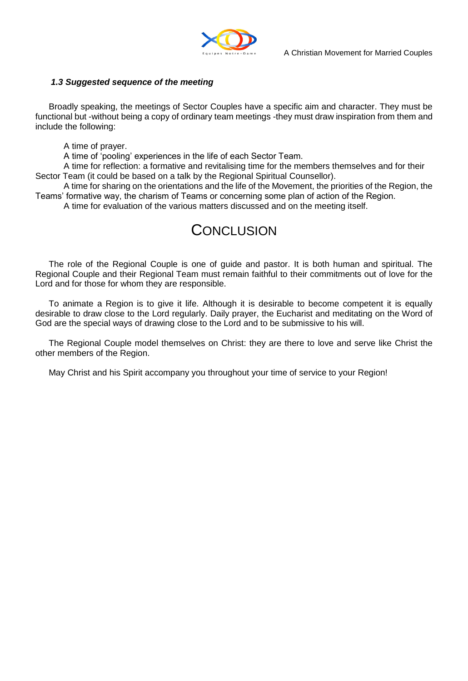

# *1.3 Suggested sequence of the meeting*

Broadly speaking, the meetings of Sector Couples have a specific aim and character. They must be functional but -without being a copy of ordinary team meetings -they must draw inspiration from them and include the following:

A time of prayer.

A time of "pooling" experiences in the life of each Sector Team.

A time for reflection: a formative and revitalising time for the members themselves and for their Sector Team (it could be based on a talk by the Regional Spiritual Counsellor).

A time for sharing on the orientations and the life of the Movement, the priorities of the Region, the Teams" formative way, the charism of Teams or concerning some plan of action of the Region.

A time for evaluation of the various matters discussed and on the meeting itself.

# **CONCLUSION**

The role of the Regional Couple is one of guide and pastor. It is both human and spiritual. The Regional Couple and their Regional Team must remain faithful to their commitments out of love for the Lord and for those for whom they are responsible.

To animate a Region is to give it life. Although it is desirable to become competent it is equally desirable to draw close to the Lord regularly. Daily prayer, the Eucharist and meditating on the Word of God are the special ways of drawing close to the Lord and to be submissive to his will.

The Regional Couple model themselves on Christ: they are there to love and serve like Christ the other members of the Region.

May Christ and his Spirit accompany you throughout your time of service to your Region!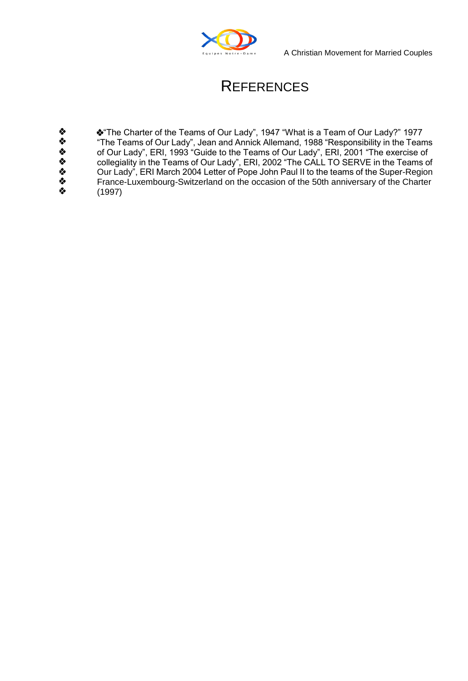

A Christian Movement for Married Couples

# **REFERENCES**

ややややややや \*The Charter of the Teams of Our Lady", 1947 "What is a Team of Our Lady?" 1977 "The Teams of Our Lady", Jean and Annick Allemand, 1988 "Responsibility in the Teams of Our Lady", ERI, 1993 "Guide to the Teams of Our Lady", ERI, 2001 "The exercise of collegiality in the Teams of Our Lady", ERI, 2002 "The CALL TO SERVE in the Teams of Our Lady", ERI March 2004 Letter of Pope John Paul II to the teams of the Super-Region France-Luxembourg-Switzerland on the occasion of the 50th anniversary of the Charter (1997)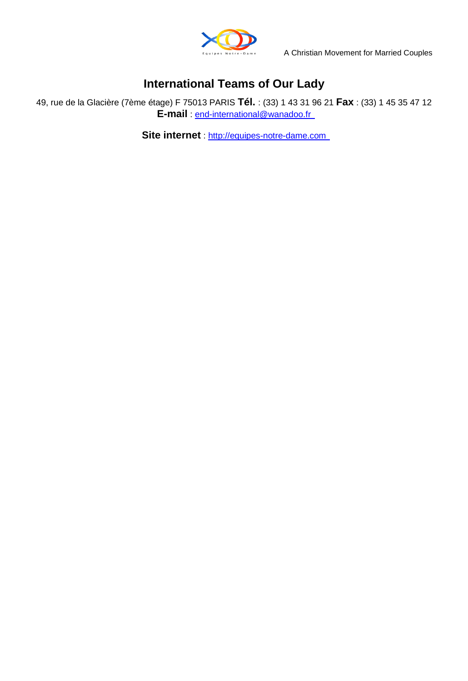

# **International Teams of Our Lady**

49, rue de la Glacière (7ème étage) F 75013 PARIS **Tél.** : (33) 1 43 31 96 21 **Fax** : (33) 1 45 35 47 12 **E-mail** : end-international@wanadoo.fr

**Site internet** : [http://equipes-notre-dame.com](http://equipes-notre-dame.com/)